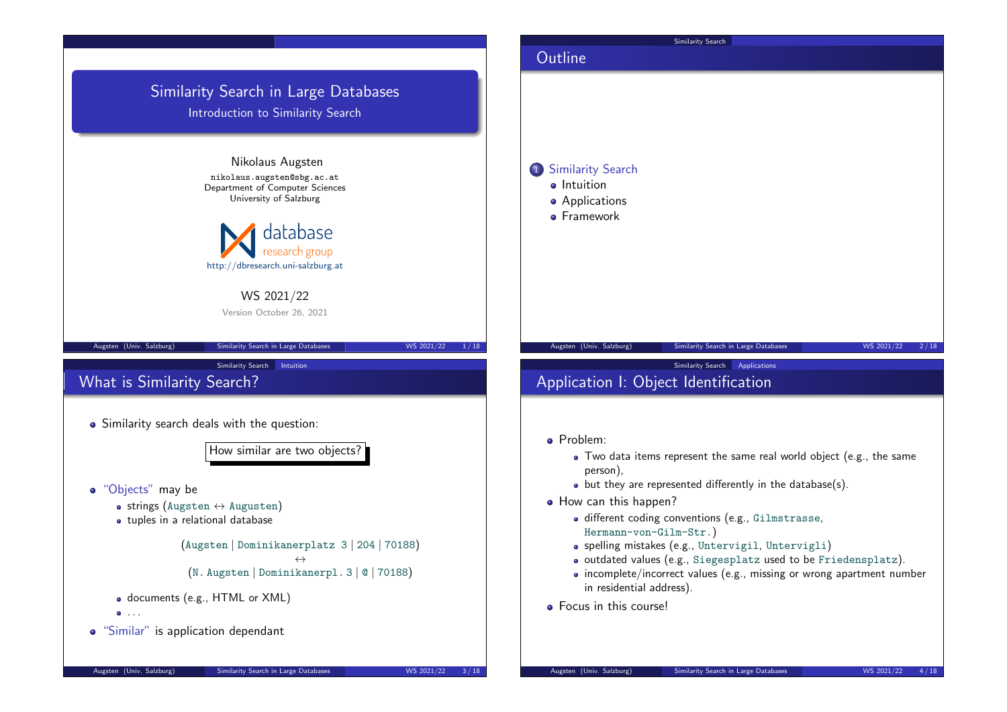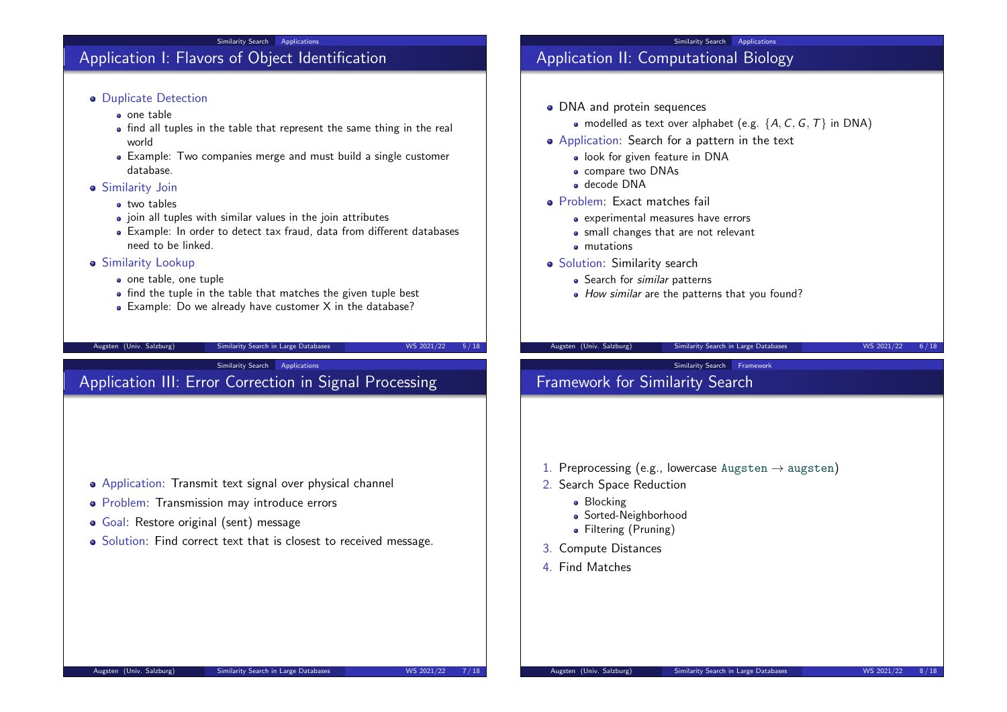#### Similarity Search Applications

## Application I: Flavors of Object Identification

#### **•** Duplicate Detection

- one table
- find all tuples in the table that represent the same thing in the real world
- Example: Two companies merge and must build a single customer database.
- **Similarity Join** 
	- **a** two tables
	- join all tuples with similar values in the join attributes
	- Example: In order to detect tax fraud, data from different databases need to be linked.
- **Similarity Lookup** 
	- o one table, one tuple
	- find the tuple in the table that matches the given tuple best
	- Example: Do we already have customer X in the database?

#### Augsten (Univ. Salzburg) Similarity Search in Large Databases WS 2021/22 5/18

Similarity Search Applications

## Application III: Error Correction in Signal Processing

Application: Transmit text signal over physical channel

• Solution: Find correct text that is closest to received message.

• Problem: Transmission may introduce errors

Goal: Restore original (sent) message

### Similarity Search Applications

# Application II: Computational Biology

- DNA and protein sequences
	- modelled as text over alphabet (e.g.  $\{A, C, G, T\}$  in DNA)
- Application: Search for a pattern in the text
	- **.** look for given feature in DNA
	- compare two DNAs
	- decode DNA
- Problem: Exact matches fail
	- experimental measures have errors
	- small changes that are not relevant
	- **•** mutations
- Solution: Similarity search
	- Search for *similar* patterns
	- How similar are the patterns that you found?

#### Augsten (Univ. Salzburg) Similarity Search in Large Databases WS 2021/22 6/18

Similarity Search Framework

# Framework for Similarity Search

- 1. Preprocessing (e.g., lowercase Augsten  $\rightarrow$  augsten)
- 2. Search Space Reduction
	- Blocking
	- Sorted-Neighborhood
	- Filtering (Pruning)
- 3. Compute Distances
- 4. Find Matches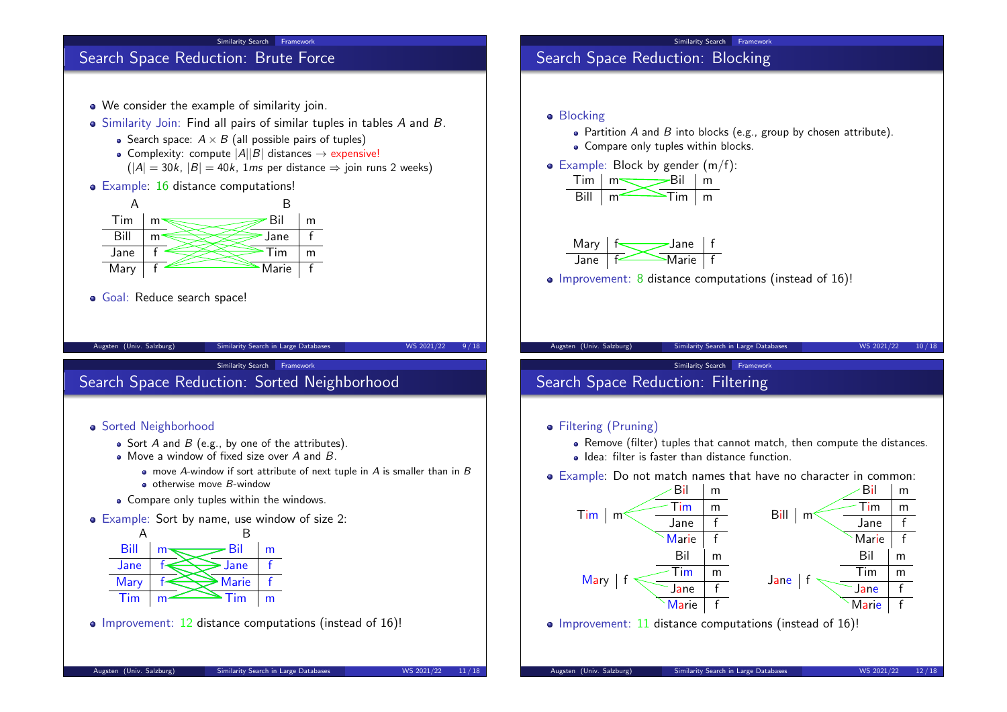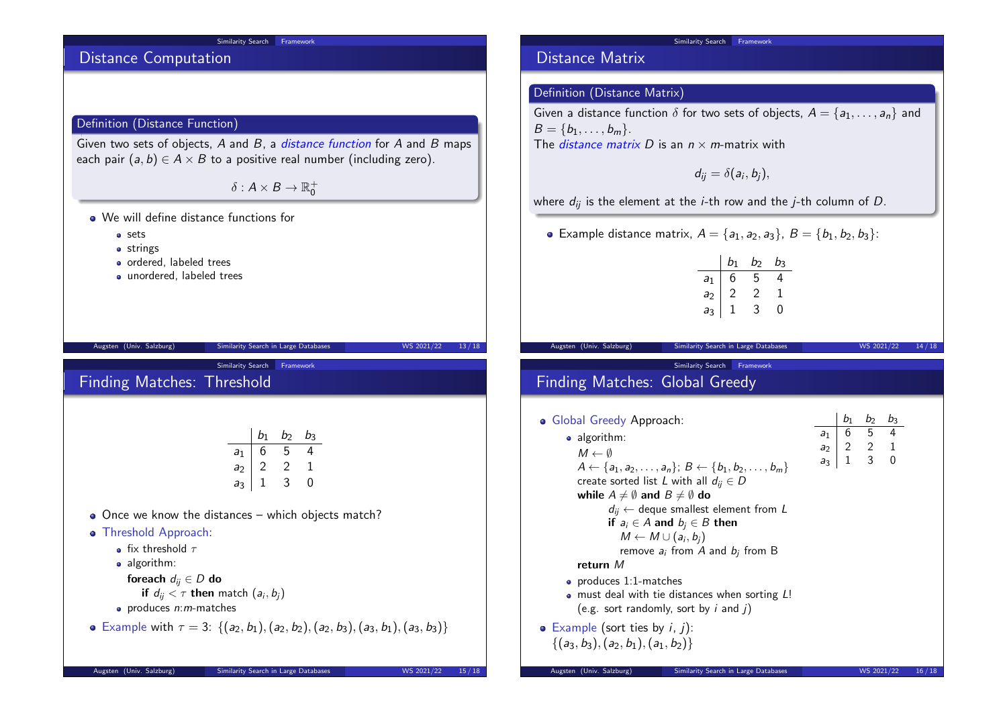#### Similarity Search Framework

# Distance Computation

## Definition (Distance Function)

Given two sets of objects,  $A$  and  $B$ , a *distance function* for  $A$  and  $B$  maps each pair  $(a, b) \in A \times B$  to a positive real number (including zero).

 $\delta: A \times B \rightarrow \mathbb{R}^+_0$ 

- We will define distance functions for
	- **o** sets
	- **•** strings
	- ordered, labeled trees
	- unordered, labeled trees

| Augsten (Univ. Salzburg)                                                                                                                                                                                                                                                                                                                                        | Similarity Search in Large Databases |             |                                                         |          | WS 2021/22 | 13/18 |
|-----------------------------------------------------------------------------------------------------------------------------------------------------------------------------------------------------------------------------------------------------------------------------------------------------------------------------------------------------------------|--------------------------------------|-------------|---------------------------------------------------------|----------|------------|-------|
| <b>Finding Matches: Threshold</b>                                                                                                                                                                                                                                                                                                                               | Similarity Search                    |             | Framework                                               |          |            |       |
| Once we know the distances $-$ which objects match?<br>$\bullet$<br>Threshold Approach:<br>$\bullet$<br>• fix threshold $\tau$<br>$\bullet$ algorithm:<br>foreach $d_{ij} \in D$ do<br>if $d_{ij} < \tau$ then match $(a_i, b_i)$<br>• produces $n: m$ -matches<br>• Example with $\tau = 3$ : $\{(a_2, b_1), (a_2, b_2), (a_2, b_3), (a_3, b_1), (a_3, b_3)\}$ | $a_1$<br>a <sub>3</sub>              | $a_2$ 2 2 1 | $b_1$ $b_2$ $b_3$<br>$6 \quad 5 \quad 4$<br>$1 \quad 3$ | $\Omega$ |            |       |

Augsten (Univ. Salzburg) Similarity Search in Large Databases WS 2021/22 15/18

## Distance Matrix

## Definition (Distance Matrix)

Given a distance function  $\delta$  for two sets of objects,  $A = \{a_1, \ldots, a_n\}$  and  $B = \{b_1, \ldots, b_m\}.$ The *distance matrix D* is an  $n \times m$ -matrix with

Similarity Search Framework

$$
d_{ij}=\delta(a_i,b_j),
$$

where  $d_{ii}$  is the element at the *i*-th row and the *j*-th column of *D*.

• Example distance matrix,  $A = \{a_1, a_2, a_3\}, B = \{b_1, b_2, b_3\}$ :

|                | $b_1$ | b | $b_3$ |
|----------------|-------|---|-------|
| $a_1$          | 5     | 5 | 4     |
| $a_2$          | 2     | 2 |       |
| a <sub>3</sub> |       | 3 | 0     |

Similarity Search Framework

Augsten (Univ. Salzburg) Similarity Search in Large Databases WS 2021/22 14/18

# Finding Matches: Global Greedy

| • Global Greedy Approach:                                                                                                      |                | $b_1$ | $b_2$                                      | $b_3$ |       |
|--------------------------------------------------------------------------------------------------------------------------------|----------------|-------|--------------------------------------------|-------|-------|
| $\bullet$ algorithm:                                                                                                           | a <sub>1</sub> |       | $6 \quad 5 \quad 4$                        |       |       |
| $M \leftarrow \emptyset$                                                                                                       | a <sub>2</sub> |       | $\begin{array}{ccc} 2 & 2 & 1 \end{array}$ |       |       |
| $A \leftarrow \{a_1, a_2, \ldots, a_n\}; B \leftarrow \{b_1, b_2, \ldots, b_m\}$                                               | a <sub>3</sub> |       | $1 \quad 3 \quad 0$                        |       |       |
| create sorted list L with all $d_{ii} \in D$                                                                                   |                |       |                                            |       |       |
| while $A \neq \emptyset$ and $B \neq \emptyset$ do                                                                             |                |       |                                            |       |       |
| $d_{ii} \leftarrow$ deque smallest element from L                                                                              |                |       |                                            |       |       |
| if $a_i \in A$ and $b_i \in B$ then                                                                                            |                |       |                                            |       |       |
| $M \leftarrow M \cup (a_i, b_i)$                                                                                               |                |       |                                            |       |       |
| remove $a_i$ from A and $b_i$ from B                                                                                           |                |       |                                            |       |       |
| return M                                                                                                                       |                |       |                                            |       |       |
| $\bullet$ produces 1:1-matches<br>• must deal with tie distances when sorting L!<br>(e.g. sort randomly, sort by $i$ and $j$ ) |                |       |                                            |       |       |
| • Example (sort ties by $i, j$ ):<br>$\{(a_3,b_3), (a_2,b_1), (a_1,b_2)\}\$                                                    |                |       |                                            |       |       |
| Augsten (Univ. Salzburg)<br>Similarity Search in Large Databases                                                               |                |       | WS 2021/22                                 |       | 16/18 |